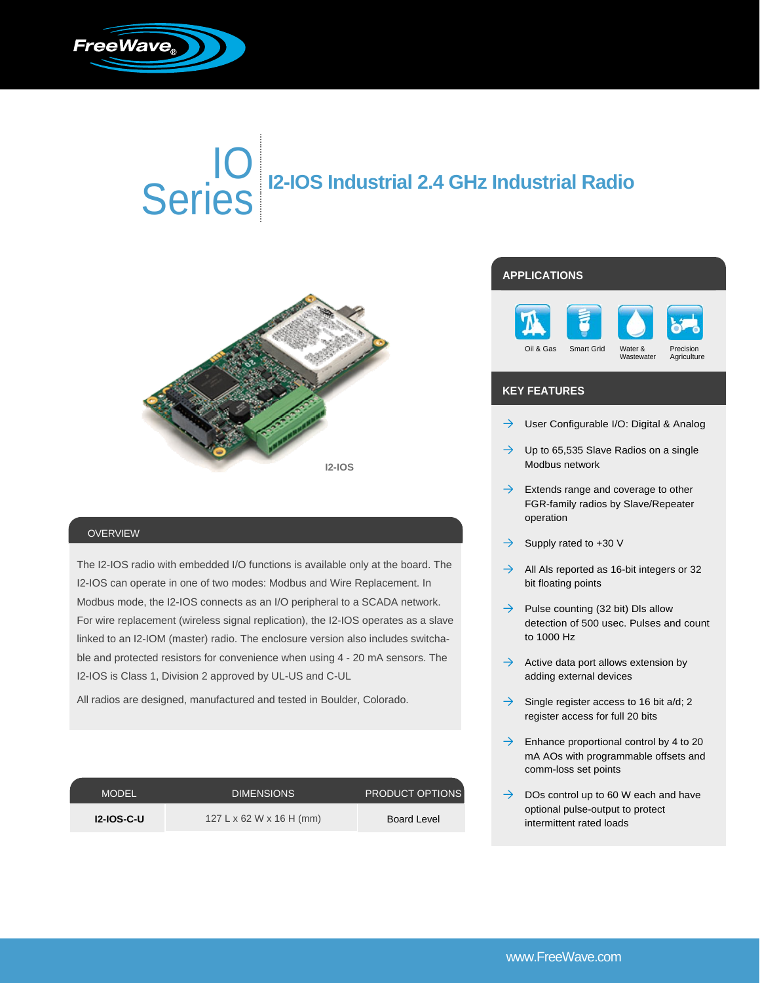

# IO Series **I2-IOS Industrial 2.4 GHz Industrial Radio**



### OVERVIEW

The I2-IOS radio with embedded I/O functions is available only at the board. The I2-IOS can operate in one of two modes: Modbus and Wire Replacement. In Modbus mode, the I2-IOS connects as an I/O peripheral to a SCADA network. For wire replacement (wireless signal replication), the I2-IOS operates as a slave linked to an I2-IOM (master) radio. The enclosure version also includes switchable and protected resistors for convenience when using 4 - 20 mA sensors. The I2-IOS is Class 1, Division 2 approved by UL-US and C-UL

All radios are designed, manufactured and tested in Boulder, Colorado.

| <b>MODEL</b>      | <b>DIMENSIONS</b>        | <b>PRODUCT OPTIONS</b> |
|-------------------|--------------------------|------------------------|
| <b>12-IOS-C-U</b> | 127 L x 62 W x 16 H (mm) | Board Level            |

## **APPLICATIONS**



### **KEY FEATURES**

- $\rightarrow$  User Configurable I/O: Digital & Analog
- $\rightarrow$  Up to 65,535 Slave Radios on a single Modbus network
- $\rightarrow$  Extends range and coverage to other FGR-family radios by Slave/Repeater operation
- $\rightarrow$  Supply rated to +30 V
- $\rightarrow$  All Als reported as 16-bit integers or 32 bit floating points
- $\rightarrow$  Pulse counting (32 bit) DIs allow detection of 500 usec. Pulses and count to 1000 Hz
- $\rightarrow$  Active data port allows extension by adding external devices
- $\rightarrow$  Single register access to 16 bit a/d; 2 register access for full 20 bits
- $\rightarrow$  Enhance proportional control by 4 to 20 mA AOs with programmable offsets and comm-loss set points
- $\rightarrow$  DOs control up to 60 W each and have optional pulse-output to protect intermittent rated loads